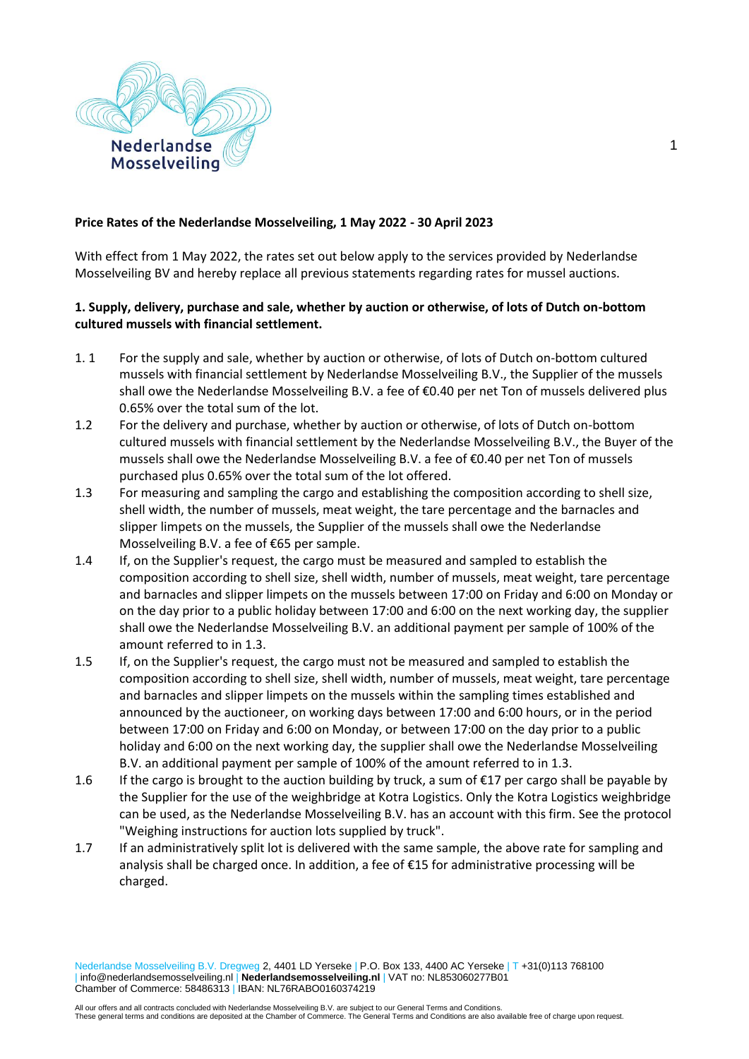

### **Price Rates of the Nederlandse Mosselveiling, 1 May 2022 - 30 April 2023**

With effect from 1 May 2022, the rates set out below apply to the services provided by Nederlandse Mosselveiling BV and hereby replace all previous statements regarding rates for mussel auctions.

## **1. Supply, delivery, purchase and sale, whether by auction or otherwise, of lots of Dutch on-bottom cultured mussels with financial settlement.**

- 1. 1 For the supply and sale, whether by auction or otherwise, of lots of Dutch on-bottom cultured mussels with financial settlement by Nederlandse Mosselveiling B.V., the Supplier of the mussels shall owe the Nederlandse Mosselveiling B.V. a fee of €0.40 per net Ton of mussels delivered plus 0.65% over the total sum of the lot.
- 1.2 For the delivery and purchase, whether by auction or otherwise, of lots of Dutch on-bottom cultured mussels with financial settlement by the Nederlandse Mosselveiling B.V., the Buyer of the mussels shall owe the Nederlandse Mosselveiling B.V. a fee of €0.40 per net Ton of mussels purchased plus 0.65% over the total sum of the lot offered.
- 1.3 For measuring and sampling the cargo and establishing the composition according to shell size, shell width, the number of mussels, meat weight, the tare percentage and the barnacles and slipper limpets on the mussels, the Supplier of the mussels shall owe the Nederlandse Mosselveiling B.V. a fee of €65 per sample.
- 1.4 If, on the Supplier's request, the cargo must be measured and sampled to establish the composition according to shell size, shell width, number of mussels, meat weight, tare percentage and barnacles and slipper limpets on the mussels between 17:00 on Friday and 6:00 on Monday or on the day prior to a public holiday between 17:00 and 6:00 on the next working day, the supplier shall owe the Nederlandse Mosselveiling B.V. an additional payment per sample of 100% of the amount referred to in 1.3.
- 1.5 If, on the Supplier's request, the cargo must not be measured and sampled to establish the composition according to shell size, shell width, number of mussels, meat weight, tare percentage and barnacles and slipper limpets on the mussels within the sampling times established and announced by the auctioneer, on working days between 17:00 and 6:00 hours, or in the period between 17:00 on Friday and 6:00 on Monday, or between 17:00 on the day prior to a public holiday and 6:00 on the next working day, the supplier shall owe the Nederlandse Mosselveiling B.V. an additional payment per sample of 100% of the amount referred to in 1.3.
- 1.6 If the cargo is brought to the auction building by truck, a sum of €17 per cargo shall be payable by the Supplier for the use of the weighbridge at Kotra Logistics. Only the Kotra Logistics weighbridge can be used, as the Nederlandse Mosselveiling B.V. has an account with this firm. See the protocol "Weighing instructions for auction lots supplied by truck".
- 1.7 If an administratively split lot is delivered with the same sample, the above rate for sampling and analysis shall be charged once. In addition, a fee of €15 for administrative processing will be charged.

Nederlandse Mosselveiling B.V. Dregweg 2, 4401 LD Yerseke | P.O. Box 133, 4400 AC Yerseke | T +31(0)113 768100 | info@nederlandsemosselveiling.nl | **Nederlandsemosselveiling.nl** | VAT no: NL853060277B01 Chamber of Commerce: 58486313 | IBAN: NL76RABO0160374219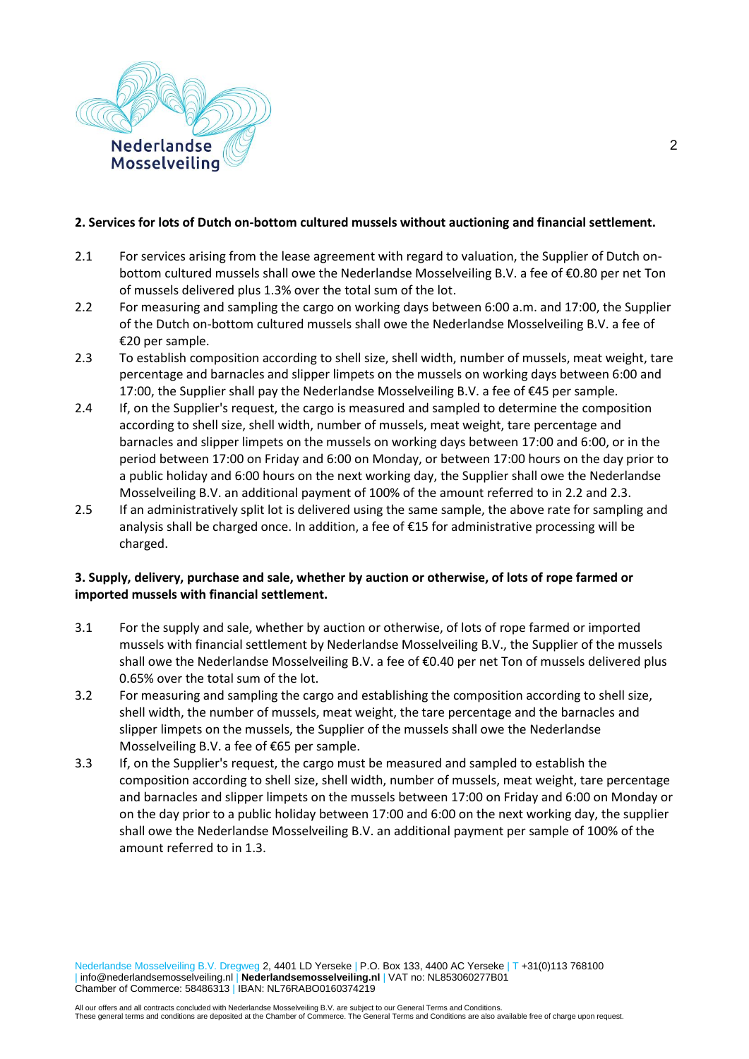

### **2. Services for lots of Dutch on-bottom cultured mussels without auctioning and financial settlement.**

- 2.1 For services arising from the lease agreement with regard to valuation, the Supplier of Dutch onbottom cultured mussels shall owe the Nederlandse Mosselveiling B.V. a fee of €0.80 per net Ton of mussels delivered plus 1.3% over the total sum of the lot.
- 2.2 For measuring and sampling the cargo on working days between 6:00 a.m. and 17:00, the Supplier of the Dutch on-bottom cultured mussels shall owe the Nederlandse Mosselveiling B.V. a fee of €20 per sample.
- 2.3 To establish composition according to shell size, shell width, number of mussels, meat weight, tare percentage and barnacles and slipper limpets on the mussels on working days between 6:00 and 17:00, the Supplier shall pay the Nederlandse Mosselveiling B.V. a fee of €45 per sample*.*
- 2.4 If, on the Supplier's request, the cargo is measured and sampled to determine the composition according to shell size, shell width, number of mussels, meat weight, tare percentage and barnacles and slipper limpets on the mussels on working days between 17:00 and 6:00, or in the period between 17:00 on Friday and 6:00 on Monday, or between 17:00 hours on the day prior to a public holiday and 6:00 hours on the next working day, the Supplier shall owe the Nederlandse Mosselveiling B.V. an additional payment of 100% of the amount referred to in 2.2 and 2.3.
- 2.5 If an administratively split lot is delivered using the same sample, the above rate for sampling and analysis shall be charged once. In addition, a fee of €15 for administrative processing will be charged.

# **3. Supply, delivery, purchase and sale, whether by auction or otherwise, of lots of rope farmed or imported mussels with financial settlement.**

- 3.1 For the supply and sale, whether by auction or otherwise, of lots of rope farmed or imported mussels with financial settlement by Nederlandse Mosselveiling B.V., the Supplier of the mussels shall owe the Nederlandse Mosselveiling B.V. a fee of €0.40 per net Ton of mussels delivered plus 0.65% over the total sum of the lot.
- 3.2 For measuring and sampling the cargo and establishing the composition according to shell size, shell width, the number of mussels, meat weight, the tare percentage and the barnacles and slipper limpets on the mussels, the Supplier of the mussels shall owe the Nederlandse Mosselveiling B.V. a fee of €65 per sample.
- 3.3 If, on the Supplier's request, the cargo must be measured and sampled to establish the composition according to shell size, shell width, number of mussels, meat weight, tare percentage and barnacles and slipper limpets on the mussels between 17:00 on Friday and 6:00 on Monday or on the day prior to a public holiday between 17:00 and 6:00 on the next working day, the supplier shall owe the Nederlandse Mosselveiling B.V. an additional payment per sample of 100% of the amount referred to in 1.3.

Nederlandse Mosselveiling B.V. Dregweg 2, 4401 LD Yerseke | P.O. Box 133, 4400 AC Yerseke | T +31(0)113 768100 | info@nederlandsemosselveiling.nl | **Nederlandsemosselveiling.nl** | VAT no: NL853060277B01 Chamber of Commerce: 58486313 | IBAN: NL76RABO0160374219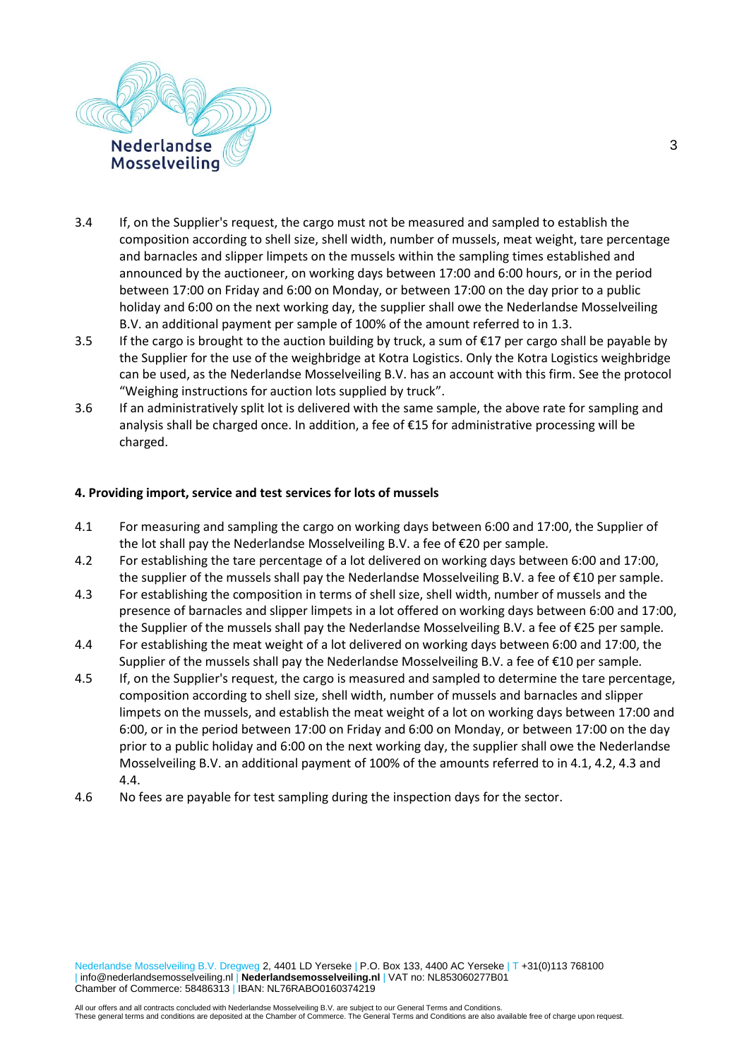

- 3.4 If, on the Supplier's request, the cargo must not be measured and sampled to establish the composition according to shell size, shell width, number of mussels, meat weight, tare percentage and barnacles and slipper limpets on the mussels within the sampling times established and announced by the auctioneer, on working days between 17:00 and 6:00 hours, or in the period between 17:00 on Friday and 6:00 on Monday, or between 17:00 on the day prior to a public holiday and 6:00 on the next working day, the supplier shall owe the Nederlandse Mosselveiling B.V. an additional payment per sample of 100% of the amount referred to in 1.3.
- 3.5 If the cargo is brought to the auction building by truck, a sum of €17 per cargo shall be payable by the Supplier for the use of the weighbridge at Kotra Logistics. Only the Kotra Logistics weighbridge can be used, as the Nederlandse Mosselveiling B.V. has an account with this firm. See the protocol "Weighing instructions for auction lots supplied by truck".
- 3.6 If an administratively split lot is delivered with the same sample, the above rate for sampling and analysis shall be charged once. In addition, a fee of €15 for administrative processing will be charged.

### **4. Providing import, service and test services for lots of mussels**

- 4.1 For measuring and sampling the cargo on working days between 6:00 and 17:00, the Supplier of the lot shall pay the Nederlandse Mosselveiling B.V. a fee of €20 per sample*.*
- 4.2 For establishing the tare percentage of a lot delivered on working days between 6:00 and 17:00, the supplier of the mussels shall pay the Nederlandse Mosselveiling B.V. a fee of €10 per sample.
- 4.3 For establishing the composition in terms of shell size, shell width, number of mussels and the presence of barnacles and slipper limpets in a lot offered on working days between 6:00 and 17:00, the Supplier of the mussels shall pay the Nederlandse Mosselveiling B.V. a fee of €25 per sample*.*
- 4.4 For establishing the meat weight of a lot delivered on working days between 6:00 and 17:00, the Supplier of the mussels shall pay the Nederlandse Mosselveiling B.V. a fee of €10 per sample*.*
- 4.5 If, on the Supplier's request, the cargo is measured and sampled to determine the tare percentage, composition according to shell size, shell width, number of mussels and barnacles and slipper limpets on the mussels, and establish the meat weight of a lot on working days between 17:00 and 6:00, or in the period between 17:00 on Friday and 6:00 on Monday, or between 17:00 on the day prior to a public holiday and 6:00 on the next working day, the supplier shall owe the Nederlandse Mosselveiling B.V. an additional payment of 100% of the amounts referred to in 4.1, 4.2, 4.3 and 4.4.
- 4.6 No fees are payable for test sampling during the inspection days for the sector.

Nederlandse Mosselveiling B.V. Dregweg 2, 4401 LD Yerseke | P.O. Box 133, 4400 AC Yerseke | T +31(0)113 768100 | info@nederlandsemosselveiling.nl | **Nederlandsemosselveiling.nl** | VAT no: NL853060277B01 Chamber of Commerce: 58486313 | IBAN: NL76RABO0160374219